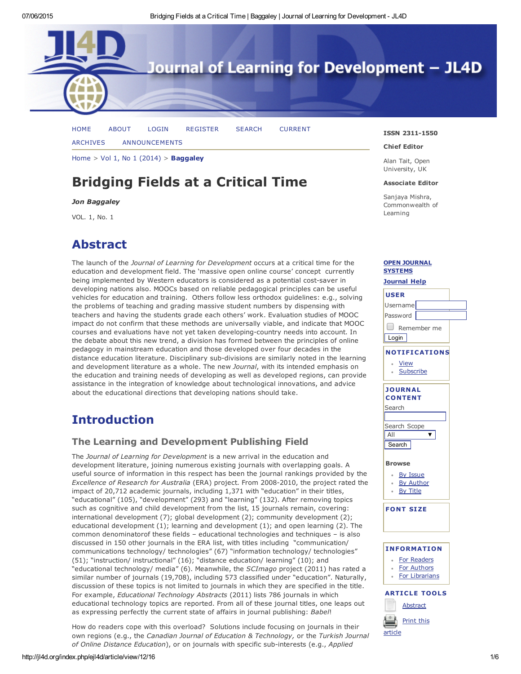

[HOME](http://jl4d.org/index.php/ejl4d/index) [ABOUT](http://jl4d.org/index.php/ejl4d/about) [LOGIN](http://jl4d.org/index.php/ejl4d/login) [REGISTER](http://jl4d.org/index.php/ejl4d/user/register) [SEARCH](http://jl4d.org/index.php/ejl4d/search) [CURRENT](http://jl4d.org/index.php/ejl4d/issue/current) [ARCHIVES](http://jl4d.org/index.php/ejl4d/issue/archive) [ANNOUNCEMENTS](http://jl4d.org/index.php/ejl4d/announcement)

[Home](http://jl4d.org/index.php/ejl4d/index)  $>$  Vol 1, No 1 [\(2014\)](http://jl4d.org/index.php/ejl4d/issue/view/1)  $>$  [Baggaley](http://jl4d.org/index.php/ejl4d/article/view/12/16)

# Bridging Fields at a Critical Time

### *Jon Baggaley*

VOL. 1, No. 1

## Abstract

The launch of the *Journal of Learning for Development* occurs at a critical time for the education and development field. The 'massive open online course' concept currently being implemented by Western educators is considered as a potential cost-saver in developing nations also. MOOCs based on reliable pedagogical principles can be useful vehicles for education and training. Others follow less orthodox guidelines: e.g., solving the problems of teaching and grading massive student numbers by dispensing with teachers and having the students grade each others' work. Evaluation studies of MOOC impact do not confirm that these methods are universally viable, and indicate that MOOC courses and evaluations have not yet taken developing-country needs into account. In the debate about this new trend, a division has formed between the principles of online pedagogy in mainstream education and those developed over four decades in the distance education literature. Disciplinary sub-divisions are similarly noted in the learning and development literature as a whole. The new *Journal*, with its intended emphasis on the education and training needs of developing as well as developed regions, can provide assistance in the integration of knowledge about technological innovations, and advice about the educational directions that developing nations should take.

## Introduction

## The Learning and Development Publishing Field

The *Journal of Learning for Development* is a new arrival in the education and development literature, joining numerous existing journals with overlapping goals. A useful source of information in this respect has been the journal rankings provided by the *Excellence of Research for Australia* (ERA) project. From 20082010, the project rated the impact of 20,712 academic journals, including 1,371 with "education" in their titles, "educational" (105), "development" (293) and "learning" (132). After removing topics such as cognitive and child development from the list, 15 journals remain, covering: international [development](javascript:void(0);) (7); global development (2); community development (2); educational development (1); learning and development (1); and open learning (2). The common denominatorof these fields – educational technologies and techniques – is also discussed in 150 other journals in the ERA list, with titles including "communication/ communications technology/ technologies" (67) "information technology/ technologies" (51); "instruction/ instructional" (16); "distance education/ learning" (10); and "educational technology/ media" (6). Meanwhile, the *SCImago* project (2011) has rated a similar number of journals (19,708), including 573 classified under "education". Naturally, discussion of these topics is not limited to journals in which they are specified in the title. For example, *Educational Technology Abstracts* (2011) lists 786 journals in which educational technology topics are reported. From all of these journal titles, one leaps out as expressing perfectly the current state of affairs in journal publishing: *Babel*!

How do readers cope with this overload? Solutions include focusing on journals in their own regions (e.g., the *Canadian Journal of Education & Technology,* or the *Turkish Journal of Online Distance Education*), or on journals with specific subinterests (e.g., *Applied*

#### ISSN 2311-1550

#### Chief Editor

Alan Tait, Open University, UK

#### Associate Editor

Sanjaya Mishra, Commonwealth of Learning

### OPEN [JOURNAL](http://pkp.sfu.ca/ojs/) SYSTEMS

## [Journal](javascript:openHelp() Help USER Username Password Remember me **Login** NOTIFICATIONS [View](http://jl4d.org/index.php/ejl4d/notification) **[Subscribe](http://jl4d.org/index.php/ejl4d/notification/subscribeMailList)** JOURNAL **CONTENT** Search Search Scope  $\overline{\mathbf{v}}$ All **Search** Browse By [Issue](http://jl4d.org/index.php/ejl4d/issue/archive) By [Author](http://jl4d.org/index.php/ejl4d/search/authors) By [Title](http://jl4d.org/index.php/ejl4d/search/titles)  $\sim$ FONT SIZE INFORMATION For [Readers](http://jl4d.org/index.php/ejl4d/information/readers) For [Authors](http://jl4d.org/index.php/ejl4d/information/authors) For [Librarians](http://jl4d.org/index.php/ejl4d/information/librarians)

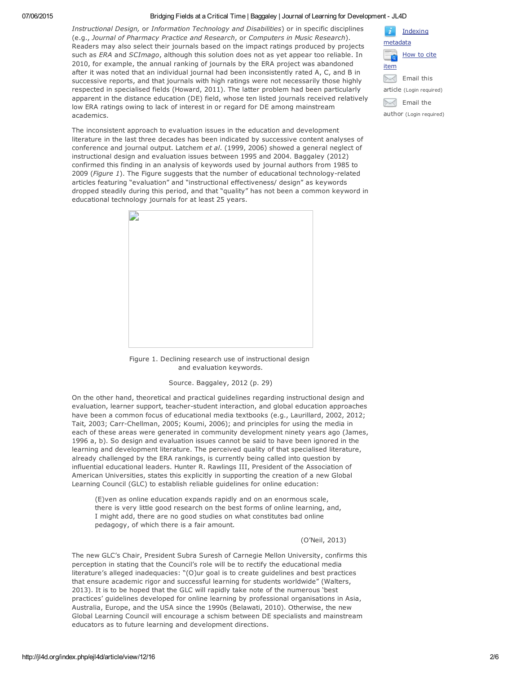*Instructional Design,* or *Information Technology and Disabilities*) or in specific disciplines (e.g., *Journal of Pharmacy Practice and Research*, or *Computers in Music Research*). Readers may also select their journals based on the impact ratings produced by projects such as *ERA* and *SCImago*, although this solution does not as yet appear too reliable. In 2010, for example, the annual ranking of journals by the ERA project was abandoned after it was noted that an individual journal had been inconsistently rated A, C, and B in successive reports, and that journals with high ratings were not necessarily those highly respected in specialised fields (Howard, 2011). The latter problem had been particularly apparent in the distance education (DE) field, whose ten listed journals received relatively low ERA ratings owing to lack of interest in or regard for DE among mainstream academics.

The inconsistent approach to evaluation issues in the education and development literature in the last three decades has been indicated by successive content analyses of conference and journal output. Latchem *et al*. (1999, 2006) showed a general neglect of instructional design and evaluation issues between 1995 and 2004. Baggaley (2012) confirmed this finding in an analysis of keywords used by journal authors from 1985 to 2009 (Figure 1). The Figure suggests that the number of educational technology-related articles featuring "evaluation" and "instructional effectiveness/ design" as keywords dropped steadily during this period, and that "quality" has not been a common keyword in educational technology journals for at least 25 years.



Figure 1. Declining research use of instructional design and evaluation keywords.

### Source. Baggaley, 2012 (p. 29)

On the other hand, theoretical and practical guidelines regarding instructional design and evaluation, learner support, teacher-student interaction, and global education approaches have been a common focus of educational media textbooks (e.g., Laurillard, 2002, 2012; Tait, 2003; Carr-Chellman, 2005; Koumi, 2006); and principles for using the media in each of these areas were generated in community development ninety years ago (James, 1996 a, b). So design and evaluation issues cannot be said to have been ignored in the learning and development literature. The perceived quality of that specialised literature, already challenged by the ERA rankings, is currently being called into question by influential educational leaders. Hunter R. Rawlings III, President of the Association of American Universities, states this explicitly in supporting the creation of a new Global Learning Council (GLC) to establish reliable guidelines for online education:

(E)ven as online education expands rapidly and on an enormous scale, there is very little good research on the best forms of online learning, and, I might add, there are no good studies on what constitutes bad online pedagogy, of which there is a fair amount.

### (O'Neil, 2013)

The new GLC's Chair, President Subra Suresh of Carnegie Mellon University, confirms this perception in stating that the Council's role will be to rectify the educational media literature's alleged inadequacies: "(O)ur goal is to create guidelines and best practices that ensure academic rigor and successful learning for students worldwide" (Walters, 2013). It is to be hoped that the GLC will rapidly take note of the numerous 'best practices' guidelines developed for online learning by professional organisations in Asia, Australia, Europe, and the USA since the 1990s (Belawati, 2010). Otherwise, the new Global Learning Council will encourage a schism between DE specialists and mainstream educators as to future learning and development directions.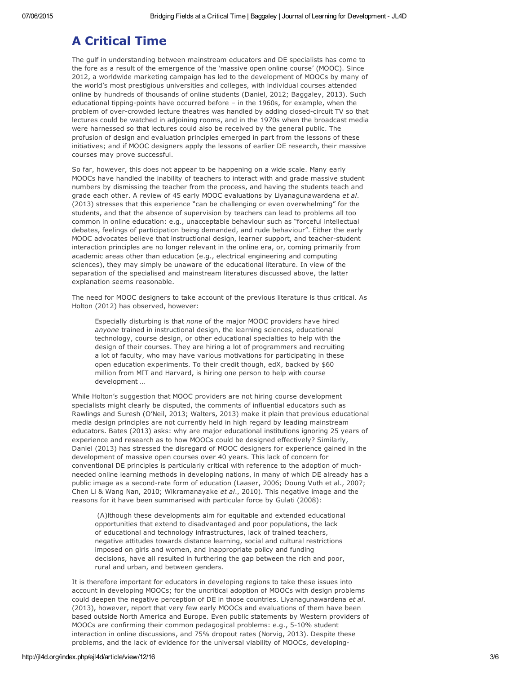## A Critical Time

The gulf in understanding between mainstream educators and DE specialists has come to the fore as a result of the emergence of the 'massive open online course' (MOOC). Since 2012, a worldwide marketing campaign has led to the development of MOOCs by many of the world's most prestigious universities and colleges, with individual courses attended online by hundreds of thousands of online students (Daniel, 2012; Baggaley, 2013). Such educational tipping-points have occurred before – in the 1960s, for example, when the problem of over-crowded lecture theatres was handled by adding closed-circuit TV so that lectures could be watched in adjoining rooms, and in the 1970s when the broadcast media were harnessed so that lectures could also be received by the general public. The profusion of design and evaluation principles emerged in part from the lessons of these initiatives; and if MOOC designers apply the lessons of earlier DE research, their massive courses may prove successful.

So far, however, this does not appear to be happening on a wide scale. Many early MOOCs have handled the inability of teachers to interact with and grade massive student numbers by dismissing the teacher from the process, and having the students teach and grade each other. A review of 45 early MOOC evaluations by Liyanagunawardena *et al*. (2013) stresses that this experience "can be challenging or even overwhelming" for the students, and that the absence of supervision by teachers can lead to problems all too common in online education: e.g., unacceptable behaviour such as "forceful intellectual debates, feelings of participation being demanded, and rude behaviour". Either the early MOOC advocates believe that instructional design, learner support, and teacher-student interaction principles are no longer relevant in the online era, or, coming primarily from academic areas other than education (e.g., electrical engineering and computing sciences), they may simply be unaware of the educational literature. In view of the separation of the specialised and mainstream literatures discussed above, the latter explanation seems reasonable.

The need for MOOC designers to take account of the previous literature is thus critical. As Holton (2012) has observed, however:

Especially disturbing is that *none* of the major MOOC providers have hired *anyone* trained in instructional design, the learning sciences, educational technology, course design, or other educational specialties to help with the design of their courses. They are hiring a lot of programmers and recruiting a lot of faculty, who may have various motivations for participating in these open education experiments. To their credit though, edX, backed by \$60 million from MIT and Harvard, is hiring one person to help with course development …

While Holton's suggestion that MOOC providers are not hiring course development specialists might clearly be disputed, the comments of influential educators such as Rawlings and Suresh (O'Neil, 2013; Walters, 2013) make it plain that previous educational media design principles are not currently held in high regard by leading mainstream educators. Bates (2013) asks: why are major educational institutions ignoring 25 years of experience and research as to how MOOCs could be designed effectively? Similarly, Daniel (2013) has stressed the disregard of MOOC designers for experience gained in the development of massive open courses over 40 years. This lack of concern for conventional DE principles is particularly critical with reference to the adoption of muchneeded online learning methods in developing nations, in many of which DE already has a public image as a second-rate form of education (Laaser, 2006; Doung Vuth et al., 2007; Chen Li & Wang Nan, 2010; Wikramanayake *et al*., 2010). This negative image and the reasons for it have been summarised with particular force by Gulati (2008):

(A)lthough these developments aim for equitable and extended educational opportunities that extend to disadvantaged and poor populations, the lack of educational and technology infrastructures, lack of trained teachers, negative attitudes towards distance learning, social and cultural restrictions imposed on girls and women, and inappropriate policy and funding decisions, have all resulted in furthering the gap between the rich and poor, rural and urban, and between genders.

It is therefore important for educators in developing regions to take these issues into account in developing MOOCs; for the uncritical adoption of MOOCs with design problems could deepen the negative perception of DE in those countries. Liyanagunawardena *et al*. (2013), however, report that very few early MOOCs and evaluations of them have been based outside North America and Europe. Even public statements by Western providers of MOOCs are confirming their common pedagogical problems: e.g., 510% student interaction in online discussions, and 75% dropout rates (Norvig, 2013). Despite these problems, and the lack of evidence for the universal viability of MOOCs, developing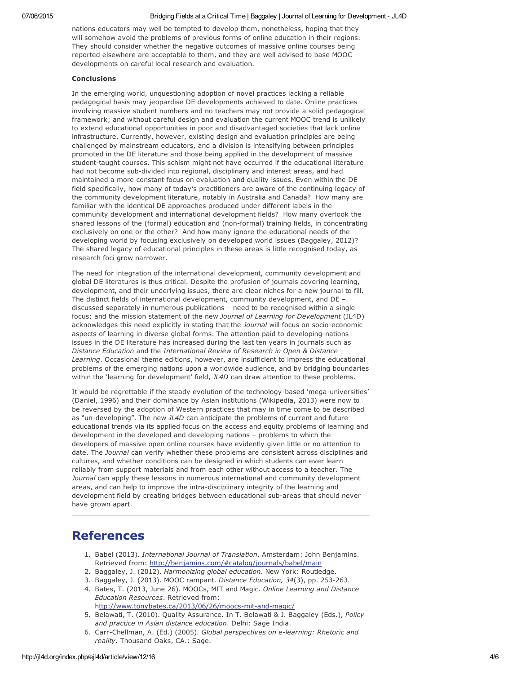nations educators may well be tempted to develop them, nonetheless, hoping that they will somehow avoid the problems of previous forms of online education in their regions. They should consider whether the negative outcomes of massive online courses being reported elsewhere are acceptable to them, and they are well advised to base MOOC developments on careful local research and evaluation.

### Conclusions

In the emerging world, unquestioning adoption of novel practices lacking a reliable pedagogical basis may jeopardise DE developments achieved to date. Online practices involving massive student numbers and no teachers may not provide a solid pedagogical framework; and without careful design and evaluation the current MOOC trend is unlikely to extend educational opportunities in poor and disadvantaged societies that lack online infrastructure. Currently, however, existing design and evaluation principles are being challenged by mainstream educators, and a division is intensifying between principles promoted in the DE literature and those being applied in the development of massive student-taught courses. This schism might not have occurred if the educational literature had not become sub-divided into regional, disciplinary and interest areas, and had maintained a more constant focus on evaluation and quality issues. Even within the DE field specifically, how many of today's practitioners are aware of the continuing legacy of the community development literature, notably in Australia and Canada? How many are familiar with the identical DE approaches produced under different labels in the community development and international development fields? How many overlook the shared lessons of the (formal) education and (non-formal) training fields, in concentrating exclusively on one or the other? And how many ignore the educational needs of the developing world by focusing exclusively on developed world issues (Baggaley, 2012)? The shared legacy of educational principles in these areas is little recognised today, as research foci grow narrower.

The need for integration of the international development, community development and global DE literatures is thus critical. Despite the profusion of journals covering learning, development, and their underlying issues, there are clear niches for a new journal to fill. The distinct fields of international development, community development, and DE – discussed separately in numerous publications – need to be recognised within a single focus; and the mission statement of the new *Journal of Learning for Development* (JL4D) acknowledges this need explicitly in stating that the *Journal* will focus on socio-economic aspects of learning in diverse global forms. The attention paid to developing-nations issues in the DE literature has increased during the last ten years in journals such as *Distance Education* and the *International Review of Research in Open & Distance Learning*. Occasional theme editions, however, are insufficient to impress the educational problems of the emerging nations upon a worldwide audience, and by bridging boundaries within the 'learning for development' field, *JL4D* can draw attention to these problems.

It would be regrettable if the steady evolution of the technology-based 'mega-universities' (Daniel, 1996) and their dominance by Asian institutions (Wikipedia, 2013) were now to be reversed by the adoption of Western practices that may in time come to be described as "un-developing". The new *JL4D* can anticipate the problems of current and future educational trends via its applied focus on the access and equity problems of learning and development in the developed and developing nations – problems to which the developers of massive open online courses have evidently given little or no attention to date. The *Journal* can verify whether these problems are consistent across disciplines and cultures, and whether conditions can be designed in which students can ever learn reliably from support materials and from each other without access to a teacher. The *Journal* can apply these lessons in numerous international and community development areas, and can help to improve the intra-disciplinary integrity of the learning and development field by creating bridges between educational sub-areas that should never have grown apart.

## References

- 1. Babel (2013). *International Journal of Translation*. Amsterdam: John Benjamins. Retrieved from: <http://benjamins.com/#catalog/journals/babel/main>
- 2. Baggaley, J. (2012). *Harmonizing global education*. New York: Routledge.
- 3. Baggaley, J. (2013). MOOC rampant. *Distance Education, 34*(3), pp. 253263.
- 4. Bates, T. (2013, June 26). MOOCs, MIT and Magic. *Online Learning and Distance Education Resources*. Retrieved from: http://www.tonybates.ca/2013/06/26/moocs-mit-and-magic/
- 5. Belawati, T. (2010). Quality Assurance. In T. Belawati & J. Baggaley (Eds.), *Policy and practice in Asian distance education*. Delhi: Sage India.
- 6. CarrChellman, A. (Ed.) (2005). *Global perspectives on elearning: Rhetoric and reality*. Thousand Oaks, CA.: Sage.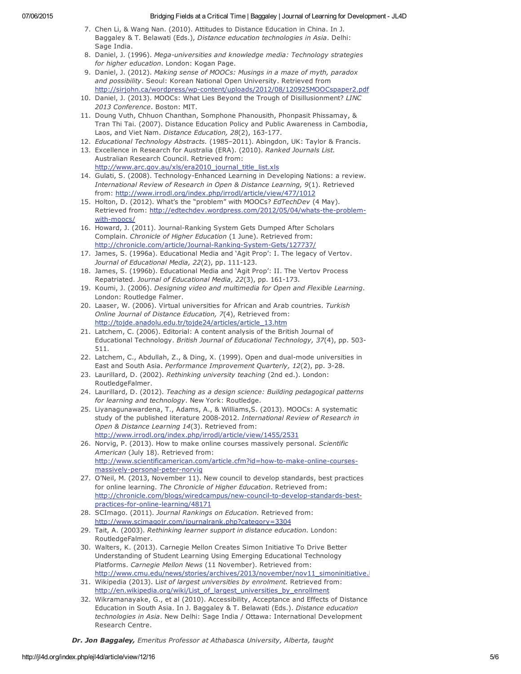- 7. Chen Li, & Wang Nan. (2010). Attitudes to Distance Education in China. In J. Baggaley & T. Belawati (Eds.), *Distance education technologies in Asia*. Delhi: Sage India.
- 8. Daniel, J. (1996). *Mega-universities and knowledge media: Technology strategies for higher education*. London: Kogan Page.
- 9. Daniel, J. (2012). *Making sense of MOOCs: Musings in a maze of myth, paradox and possibility*. Seoul: Korean National Open University. Retrieved from http://sirjohn.ca/wordpress/wp-content/uploads/2012/08/120925MOOCspaper2.pdf
- 10. Daniel, J. (2013). MOOCs: What Lies Beyond the Trough of Disillusionment? *LINC 2013 Conference*. Boston: MIT.
- 11. Doung Vuth, Chhuon Chanthan, Somphone Phanousith, Phonpasit Phissamay, & Tran Thi Tai. (2007). Distance Education Policy and Public Awareness in Cambodia, Laos, and Viet Nam. *Distance Education*, 28(2), 163-177.
- 12. *Educational Technology Abstracts.* (1985–2011). Abingdon, UK: Taylor & Francis.
- 13. Excellence in Research for Australia (ERA). (2010). *Ranked Journals List*. Australian Research Council. Retrieved from: http://[www.arc.gov.au/xls/era2010\\_journal\\_title\\_list.xls](http://www.arc.gov.au/xls/era2010_journal_title_list.xls)
- 14. Gulati, S. (2008). Technology-Enhanced Learning in Developing Nations: a review. *International Review of Research in Open & Distance Learning, 9*(1). Retrieved from: <http://www.irrodl.org/index.php/irrodl/article/view/477/1012>
- 15. Holton, D. (2012). What's the "problem" with MOOCs? *EdTechDev* (4 May). Retrieved from: http://edtechdev.wordpress.com/2012/05/04/whats-the-problemwith-moocs/
- 16. Howard, J. (2011). Journal-Ranking System Gets Dumped After Scholars Complain. *Chronicle of Higher Education* (1 June). Retrieved from: http://chronicle.com/article/Journal-Ranking-System-Gets/127737/
- 17. James, S. (1996a). Educational Media and 'Agit Prop': I. The legacy of Vertov. *Journal of Educational Media, 22(2), pp. 111-123.*
- 18. James, S. (1996b). Educational Media and 'Agit Prop': II. The Vertov Process Repatriated. *Journal of Educational Media, 22*(3), pp. 161-173.
- 19. Koumi, J. (2006). *Designing video and multimedia for Open and Flexible Learning*. London: Routledge Falmer.
- 20. Laaser, W. (2006). Virtual universities for African and Arab countries. *Turkish Online Journal of Distance Education, 7*(4), Retrieved from: [http://tojde.anadolu.edu.tr/tojde24/articles/article\\_13.htm](http://tojde.anadolu.edu.tr/tojde24/articles/article_13.htm)
- 21. Latchem, C. (2006). Editorial: A content analysis of the British Journal of Educational Technology. *British Journal of Educational Technology, 37*(4), pp. 503 511.
- 22. Latchem, C., Abdullah, Z., & Ding, X. (1999). Open and dual-mode universities in East and South Asia. Performance Improvement Quarterly, 12(2), pp. 3-28.
- 23. Laurillard, D. (2002). *Rethinking university teaching* (2nd ed.). London: RoutledgeFalmer.
- 24. Laurillard, D. (2012). *Teaching as a design science: Building pedagogical patterns for learning and technology*. New York: Routledge.
- 25. Liyanagunawardena, T., Adams, A., & Williams,S. (2013). MOOCs: A systematic study of the published literature 20082012. *International Review of Research in Open & Distance Learning 14*(3). Retrieved from: <http://www.irrodl.org/index.php/irrodl/article/view/1455/2531>
- 26. Norvig, P. (2013). How to make online courses massively personal. *Scientific American* (July 18). Retrieved from: http://www.scientificamerican.com/article.cfm?id=how-to-make-online-coursesmassively-personal-peter-norvig
- 27. O'Neil, M. (2013, November 11). New council to develop standards, best practices for online learning. *The Chronicle of Higher Education*. Retrieved from: http://chronicle.com/blogs/wiredcampus/new-council-to-develop-standards-bestpractices-for-online-learning/48171
- 28. SCImago. (2011). *Journal Rankings on Education*. Retrieved from: <http://www.scimagojr.com/journalrank.php?category=3304>
- 29. Tait, A. (2003). *Rethinking learner support in distance education*. London: RoutledgeFalmer.
- 30. Walters, K. (2013). Carnegie Mellon Creates Simon Initiative To Drive Better Understanding of Student Learning Using Emerging Educational Technology Platforms. *Carnegie Mellon News* (11 November). Retrieved from: http://www.cmu.edu/news/stories/archives/2013/november/nov11\_simoninitiative.
- 31. Wikipedia (2013). Li*st of largest universities by enrolment.* Retrieved from: [http://en.wikipedia.org/wiki/List\\_of\\_largest\\_universities\\_by\\_enrollment](http://en.wikipedia.org/wiki/List_of_largest_universities_by_enrollment)
- 32. Wikramanayake, G., et al (2010). Accessibility, Acceptance and Effects of Distance Education in South Asia. In J. Baggaley & T. Belawati (Eds.). *Distance education technologies in Asia*. New Delhi: Sage India / Ottawa: International Development Research Centre.

*Dr. Jon Baggaley, Emeritus Professor at Athabasca University, Alberta, taught*